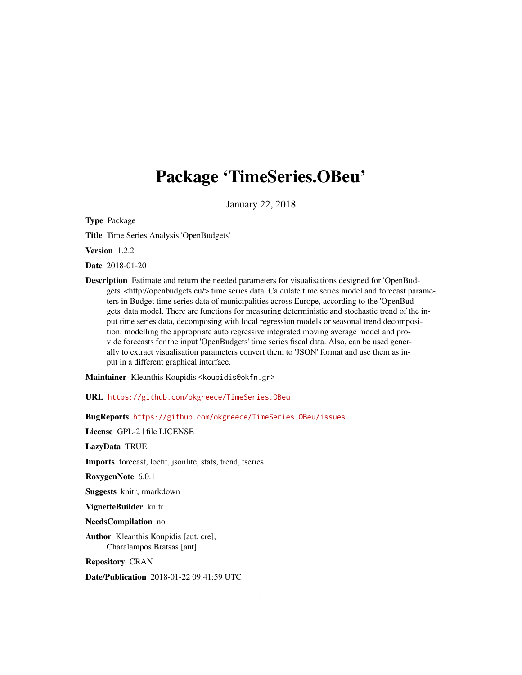## <span id="page-0-0"></span>Package 'TimeSeries.OBeu'

January 22, 2018

Type Package

Title Time Series Analysis 'OpenBudgets'

Version 1.2.2

Date 2018-01-20

Description Estimate and return the needed parameters for visualisations designed for 'OpenBudgets' <http://openbudgets.eu/> time series data. Calculate time series model and forecast parameters in Budget time series data of municipalities across Europe, according to the 'OpenBudgets' data model. There are functions for measuring deterministic and stochastic trend of the input time series data, decomposing with local regression models or seasonal trend decomposition, modelling the appropriate auto regressive integrated moving average model and provide forecasts for the input 'OpenBudgets' time series fiscal data. Also, can be used generally to extract visualisation parameters convert them to 'JSON' format and use them as input in a different graphical interface.

Maintainer Kleanthis Koupidis <koupidis@okfn.gr>

URL <https://github.com/okgreece/TimeSeries.OBeu>

BugReports <https://github.com/okgreece/TimeSeries.OBeu/issues>

License GPL-2 | file LICENSE

LazyData TRUE

Imports forecast, locfit, jsonlite, stats, trend, tseries

RoxygenNote 6.0.1

Suggests knitr, rmarkdown

VignetteBuilder knitr

NeedsCompilation no

Author Kleanthis Koupidis [aut, cre], Charalampos Bratsas [aut]

Repository CRAN

Date/Publication 2018-01-22 09:41:59 UTC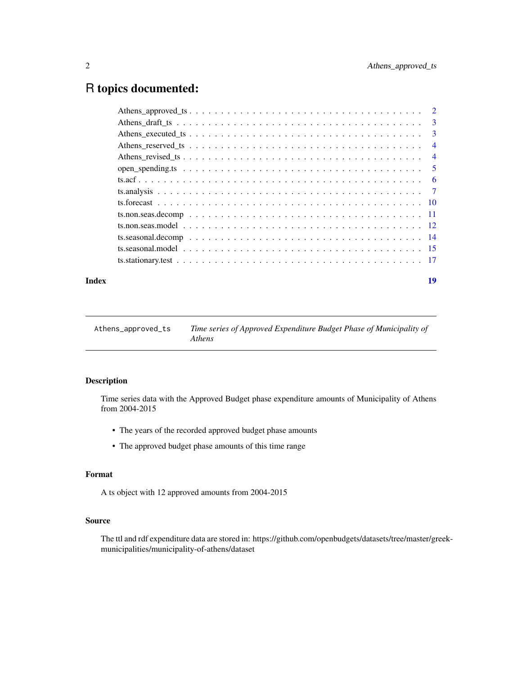## <span id="page-1-0"></span>R topics documented:

#### **Index** 2008 **[19](#page-18-0)99**

| Athens_approved_ts | Time series of Approved Expenditure Budget Phase of Municipality of |
|--------------------|---------------------------------------------------------------------|
|                    | <i>Athens</i>                                                       |

## Description

Time series data with the Approved Budget phase expenditure amounts of Municipality of Athens from 2004-2015

- The years of the recorded approved budget phase amounts
- The approved budget phase amounts of this time range

#### Format

A ts object with 12 approved amounts from 2004-2015

## Source

The ttl and rdf expenditure data are stored in: https://github.com/openbudgets/datasets/tree/master/greekmunicipalities/municipality-of-athens/dataset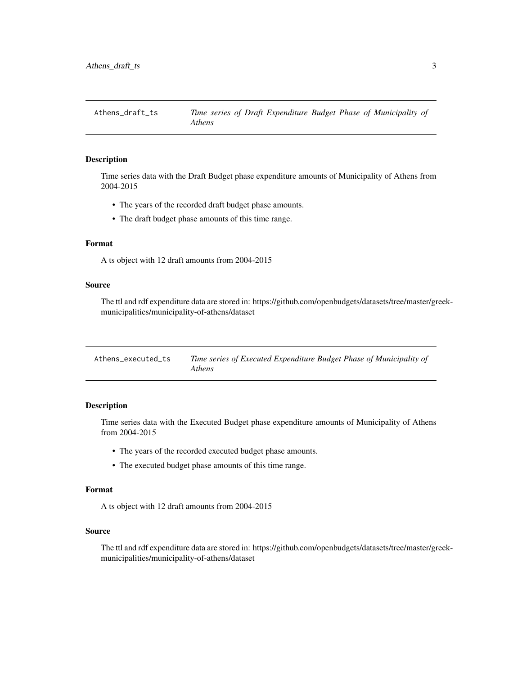<span id="page-2-0"></span>Athens\_draft\_ts *Time series of Draft Expenditure Budget Phase of Municipality of Athens*

## Description

Time series data with the Draft Budget phase expenditure amounts of Municipality of Athens from 2004-2015

- The years of the recorded draft budget phase amounts.
- The draft budget phase amounts of this time range.

## Format

A ts object with 12 draft amounts from 2004-2015

#### Source

The ttl and rdf expenditure data are stored in: https://github.com/openbudgets/datasets/tree/master/greekmunicipalities/municipality-of-athens/dataset

| Athens executed ts | Time series of Executed Expenditure Budget Phase of Municipality of |
|--------------------|---------------------------------------------------------------------|
|                    | <i>Athens</i>                                                       |

#### Description

Time series data with the Executed Budget phase expenditure amounts of Municipality of Athens from 2004-2015

- The years of the recorded executed budget phase amounts.
- The executed budget phase amounts of this time range.

#### Format

A ts object with 12 draft amounts from 2004-2015

#### Source

The ttl and rdf expenditure data are stored in: https://github.com/openbudgets/datasets/tree/master/greekmunicipalities/municipality-of-athens/dataset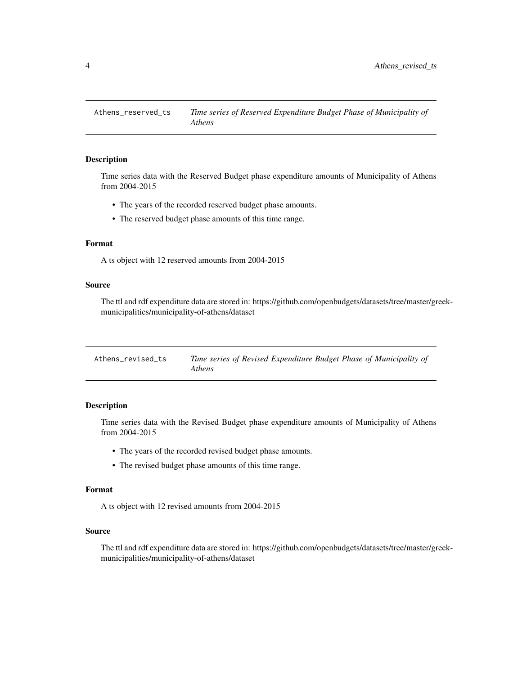<span id="page-3-0"></span>

## Description

Time series data with the Reserved Budget phase expenditure amounts of Municipality of Athens from 2004-2015

- The years of the recorded reserved budget phase amounts.
- The reserved budget phase amounts of this time range.

## Format

A ts object with 12 reserved amounts from 2004-2015

#### Source

The ttl and rdf expenditure data are stored in: https://github.com/openbudgets/datasets/tree/master/greekmunicipalities/municipality-of-athens/dataset

| Athens revised ts | Time series of Revised Expenditure Budget Phase of Municipality of |
|-------------------|--------------------------------------------------------------------|
|                   | <i>Athens</i>                                                      |

#### Description

Time series data with the Revised Budget phase expenditure amounts of Municipality of Athens from 2004-2015

- The years of the recorded revised budget phase amounts.
- The revised budget phase amounts of this time range.

#### Format

A ts object with 12 revised amounts from 2004-2015

#### Source

The ttl and rdf expenditure data are stored in: https://github.com/openbudgets/datasets/tree/master/greekmunicipalities/municipality-of-athens/dataset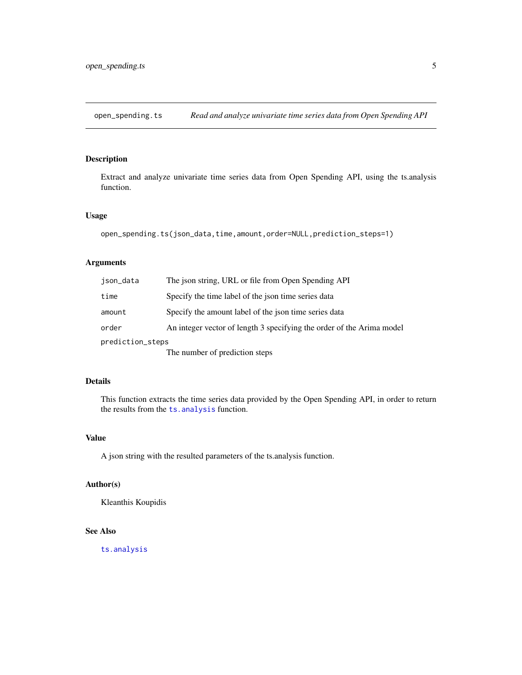<span id="page-4-0"></span>open\_spending.ts *Read and analyze univariate time series data from Open Spending API*

## Description

Extract and analyze univariate time series data from Open Spending API, using the ts.analysis function.

## Usage

```
open_spending.ts(json_data,time,amount,order=NULL,prediction_steps=1)
```
## Arguments

| ison_data        | The ison string, URL or file from Open Spending API                   |
|------------------|-----------------------------------------------------------------------|
| time             | Specify the time label of the json time series data                   |
| amount           | Specify the amount label of the ison time series data                 |
| order            | An integer vector of length 3 specifying the order of the Arima model |
| prediction_steps |                                                                       |
|                  | The number of prediction steps                                        |

## Details

This function extracts the time series data provided by the Open Spending API, in order to return the results from the [ts.analysis](#page-6-1) function.

## Value

A json string with the resulted parameters of the ts.analysis function.

#### Author(s)

Kleanthis Koupidis

## See Also

[ts.analysis](#page-6-1)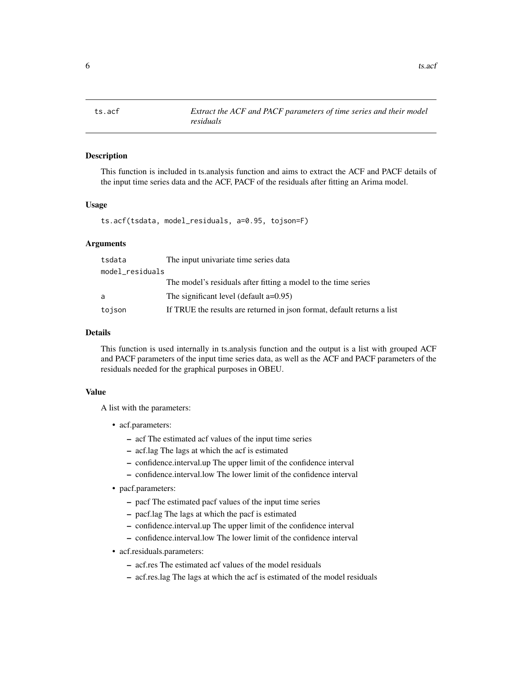<span id="page-5-0"></span>6 ts.acf the state of the state of the state of the state of the state of the state of the state of the state of the state of the state of the state of the state of the state of the state of the state of the state of the s

<span id="page-5-1"></span>

## **Description**

This function is included in ts.analysis function and aims to extract the ACF and PACF details of the input time series data and the ACF, PACF of the residuals after fitting an Arima model.

#### Usage

ts.acf(tsdata, model\_residuals, a=0.95, tojson=F)

## Arguments

| tsdata          | The input univariate time series data                                   |
|-----------------|-------------------------------------------------------------------------|
| model_residuals |                                                                         |
|                 | The model's residuals after fitting a model to the time series          |
| a               | The significant level (default $a=0.95$ )                               |
| tojson          | If TRUE the results are returned in json format, default returns a list |

## Details

This function is used internally in ts.analysis function and the output is a list with grouped ACF and PACF parameters of the input time series data, as well as the ACF and PACF parameters of the residuals needed for the graphical purposes in OBEU.

#### Value

A list with the parameters:

- acf.parameters:
	- acf The estimated acf values of the input time series
	- acf.lag The lags at which the acf is estimated
	- confidence.interval.up The upper limit of the confidence interval
	- confidence.interval.low The lower limit of the confidence interval
- pacf.parameters:
	- pacf The estimated pacf values of the input time series
	- pacf.lag The lags at which the pacf is estimated
	- confidence.interval.up The upper limit of the confidence interval
	- confidence.interval.low The lower limit of the confidence interval
- acf.residuals.parameters:
	- acf.res The estimated acf values of the model residuals
	- acf.res.lag The lags at which the acf is estimated of the model residuals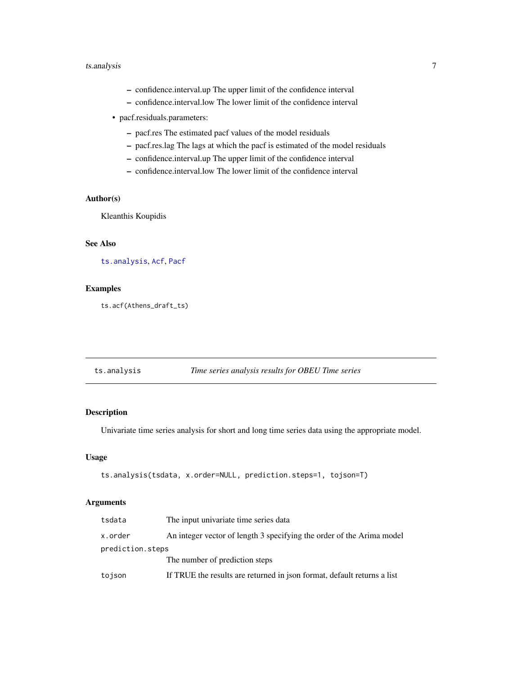## <span id="page-6-0"></span>ts.analysis 7

- confidence.interval.up The upper limit of the confidence interval
- confidence.interval.low The lower limit of the confidence interval
- pacf.residuals.parameters:
	- pacf.res The estimated pacf values of the model residuals
	- pacf.res.lag The lags at which the pacf is estimated of the model residuals
	- confidence.interval.up The upper limit of the confidence interval
	- confidence.interval.low The lower limit of the confidence interval

## Author(s)

Kleanthis Koupidis

## See Also

[ts.analysis](#page-6-1), [Acf](#page-0-0), [Pacf](#page-0-0)

## Examples

ts.acf(Athens\_draft\_ts)

<span id="page-6-1"></span>

| ts.analysis | Time series analysis results for OBEU Time series |
|-------------|---------------------------------------------------|
|-------------|---------------------------------------------------|

## Description

Univariate time series analysis for short and long time series data using the appropriate model.

## Usage

```
ts.analysis(tsdata, x.order=NULL, prediction.steps=1, tojson=T)
```
## Arguments

| tsdata           | The input univariate time series data                                   |
|------------------|-------------------------------------------------------------------------|
| x.order          | An integer vector of length 3 specifying the order of the Arima model   |
| prediction.steps |                                                                         |
|                  | The number of prediction steps                                          |
| tojson           | If TRUE the results are returned in json format, default returns a list |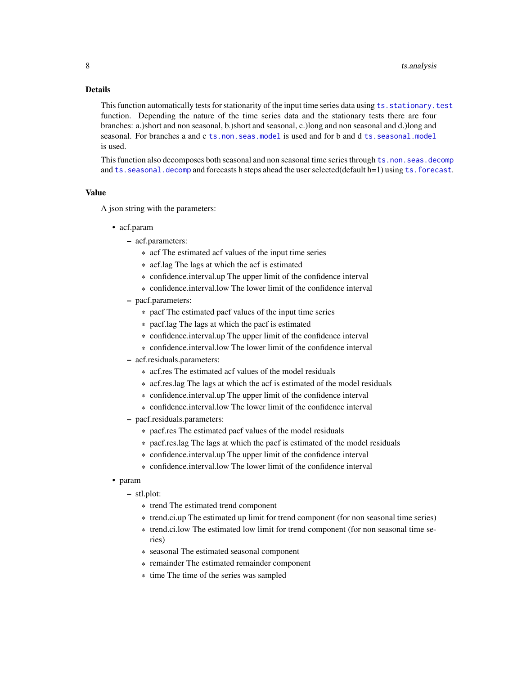#### <span id="page-7-0"></span>Details

This function automatically tests for stationarity of the input time series data using ts. stationary. test function. Depending the nature of the time series data and the stationary tests there are four branches: a.)short and non seasonal, b.)short and seasonal, c.)long and non seasonal and d.)long and seasonal. For branches a and c [ts.non.seas.model](#page-11-1) is used and for b and d [ts.seasonal.model](#page-14-1) is used.

This function also decomposes both seasonal and non seasonal time series through [ts.non.seas.decomp](#page-10-1) and ts. seasonal. decomp and forecasts h steps ahead the user selected(default h=1) using ts. forecast.

#### Value

A json string with the parameters:

- acf.param
	- acf.parameters:
		- \* acf The estimated acf values of the input time series
		- \* acf.lag The lags at which the acf is estimated
		- \* confidence.interval.up The upper limit of the confidence interval
		- \* confidence.interval.low The lower limit of the confidence interval
	- pacf.parameters:
		- \* pacf The estimated pacf values of the input time series
		- \* pacf.lag The lags at which the pacf is estimated
		- \* confidence.interval.up The upper limit of the confidence interval
		- \* confidence.interval.low The lower limit of the confidence interval
	- acf.residuals.parameters:
		- \* acf.res The estimated acf values of the model residuals
		- \* acf.res.lag The lags at which the acf is estimated of the model residuals
		- \* confidence.interval.up The upper limit of the confidence interval
		- \* confidence.interval.low The lower limit of the confidence interval
	- pacf.residuals.parameters:
		- \* pacf.res The estimated pacf values of the model residuals
		- \* pacf.res.lag The lags at which the pacf is estimated of the model residuals
		- \* confidence.interval.up The upper limit of the confidence interval
		- \* confidence.interval.low The lower limit of the confidence interval

#### • param

- stl.plot:
	- \* trend The estimated trend component
	- \* trend.ci.up The estimated up limit for trend component (for non seasonal time series)
	- \* trend.ci.low The estimated low limit for trend component (for non seasonal time series)
	- \* seasonal The estimated seasonal component
	- \* remainder The estimated remainder component
	- \* time The time of the series was sampled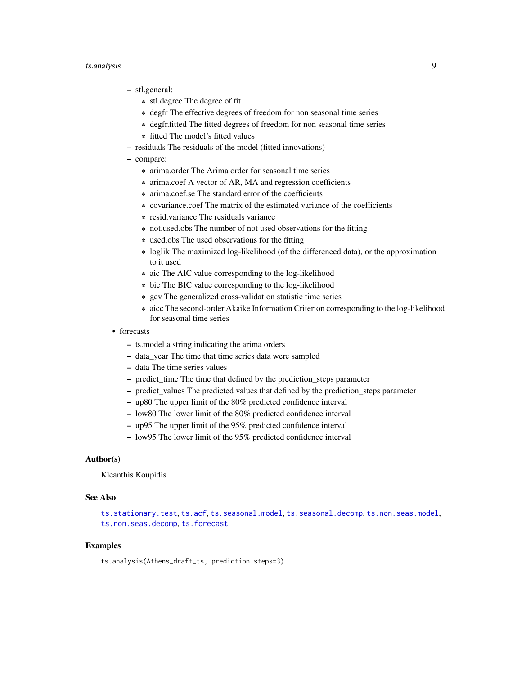#### <span id="page-8-0"></span>ts.analysis 9

- stl.general:
	- \* stl.degree The degree of fit
	- \* degfr The effective degrees of freedom for non seasonal time series
	- \* degfr.fitted The fitted degrees of freedom for non seasonal time series
	- \* fitted The model's fitted values
- residuals The residuals of the model (fitted innovations)
- compare:
	- \* arima.order The Arima order for seasonal time series
	- \* arima.coef A vector of AR, MA and regression coefficients
	- \* arima.coef.se The standard error of the coefficients
	- \* covariance.coef The matrix of the estimated variance of the coefficients
	- \* resid.variance The residuals variance
	- \* not.used.obs The number of not used observations for the fitting
	- \* used.obs The used observations for the fitting
	- \* loglik The maximized log-likelihood (of the differenced data), or the approximation to it used
	- \* aic The AIC value corresponding to the log-likelihood
	- \* bic The BIC value corresponding to the log-likelihood
	- \* gcv The generalized cross-validation statistic time series
	- \* aicc The second-order Akaike Information Criterion corresponding to the log-likelihood for seasonal time series
- forecasts
	- ts.model a string indicating the arima orders
	- data\_year The time that time series data were sampled
	- data The time series values
	- predict\_time The time that defined by the prediction\_steps parameter
	- predict values The predicted values that defined by the prediction steps parameter
	- up80 The upper limit of the 80% predicted confidence interval
	- low80 The lower limit of the 80% predicted confidence interval
	- up95 The upper limit of the 95% predicted confidence interval
	- low95 The lower limit of the 95% predicted confidence interval

#### Author(s)

Kleanthis Koupidis

#### See Also

[ts.stationary.test](#page-16-1), [ts.acf](#page-5-1), [ts.seasonal.model](#page-14-1), [ts.seasonal.decomp](#page-13-1), [ts.non.seas.model](#page-11-1), [ts.non.seas.decomp](#page-10-1), [ts.forecast](#page-9-1)

#### Examples

ts.analysis(Athens\_draft\_ts, prediction.steps=3)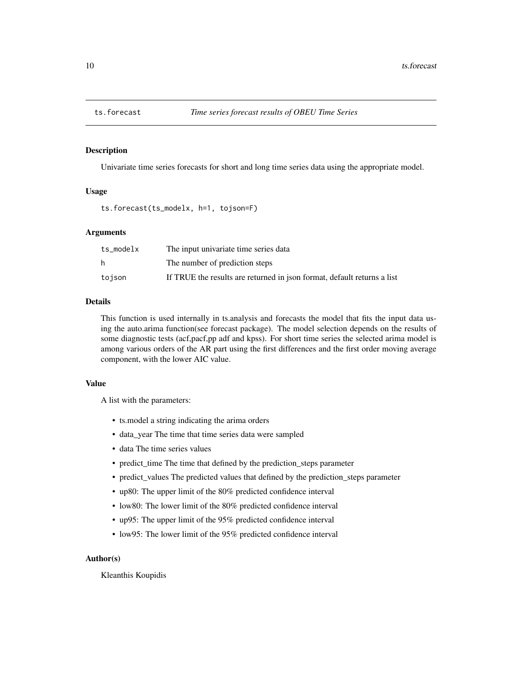<span id="page-9-1"></span><span id="page-9-0"></span>

#### Description

Univariate time series forecasts for short and long time series data using the appropriate model.

## Usage

```
ts.forecast(ts_modelx, h=1, tojson=F)
```
## Arguments

| ts_modelx | The input univariate time series data                                   |
|-----------|-------------------------------------------------------------------------|
| h.        | The number of prediction steps                                          |
| tojson    | If TRUE the results are returned in json format, default returns a list |

#### Details

This function is used internally in ts.analysis and forecasts the model that fits the input data using the auto.arima function(see forecast package). The model selection depends on the results of some diagnostic tests (acf,pacf,pp adf and kpss). For short time series the selected arima model is among various orders of the AR part using the first differences and the first order moving average component, with the lower AIC value.

#### Value

A list with the parameters:

- ts.model a string indicating the arima orders
- data\_year The time that time series data were sampled
- data The time series values
- predict\_time The time that defined by the prediction\_steps parameter
- predict\_values The predicted values that defined by the prediction\_steps parameter
- up80: The upper limit of the 80% predicted confidence interval
- low80: The lower limit of the 80% predicted confidence interval
- up95: The upper limit of the 95% predicted confidence interval
- low95: The lower limit of the 95% predicted confidence interval

## Author(s)

Kleanthis Koupidis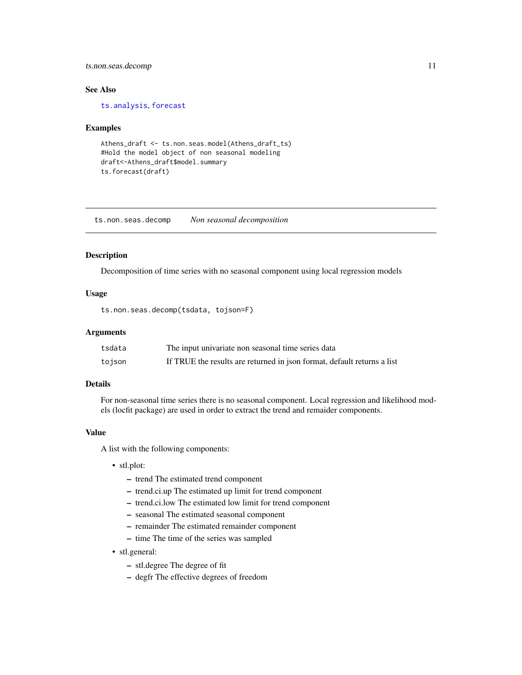## <span id="page-10-0"></span>ts.non.seas.decomp 11

## See Also

[ts.analysis](#page-6-1), [forecast](#page-0-0)

#### Examples

```
Athens_draft <- ts.non.seas.model(Athens_draft_ts)
#Hold the model object of non seasonal modeling
draft<-Athens_draft$model.summary
ts.forecast(draft)
```
<span id="page-10-1"></span>ts.non.seas.decomp *Non seasonal decomposition*

#### Description

Decomposition of time series with no seasonal component using local regression models

#### Usage

```
ts.non.seas.decomp(tsdata, tojson=F)
```
## Arguments

| tsdata | The input univariate non seasonal time series data                      |
|--------|-------------------------------------------------------------------------|
| tojson | If TRUE the results are returned in json format, default returns a list |

## Details

For non-seasonal time series there is no seasonal component. Local regression and likelihood models (locfit package) are used in order to extract the trend and remaider components.

## Value

A list with the following components:

- stl.plot:
	- trend The estimated trend component
	- trend.ci.up The estimated up limit for trend component
	- trend.ci.low The estimated low limit for trend component
	- seasonal The estimated seasonal component
	- remainder The estimated remainder component
	- time The time of the series was sampled
- stl.general:
	- stl.degree The degree of fit
	- degfr The effective degrees of freedom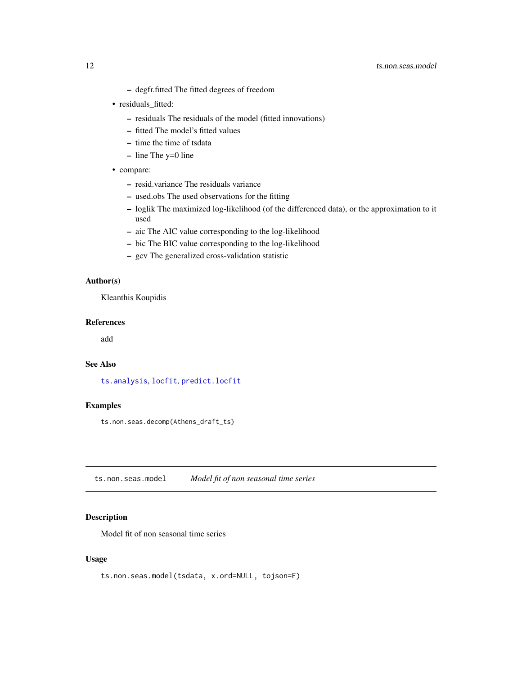#### <span id="page-11-0"></span>12 ts.non.seas.model

- degfr.fitted The fitted degrees of freedom
- residuals\_fitted:
	- residuals The residuals of the model (fitted innovations)
	- fitted The model's fitted values
	- time the time of tsdata
	- line The y=0 line
- compare:
	- resid.variance The residuals variance
	- used.obs The used observations for the fitting
	- loglik The maximized log-likelihood (of the differenced data), or the approximation to it used
	- aic The AIC value corresponding to the log-likelihood
	- bic The BIC value corresponding to the log-likelihood
	- gcv The generalized cross-validation statistic

## Author(s)

Kleanthis Koupidis

## References

add

## See Also

[ts.analysis](#page-6-1), [locfit](#page-0-0), [predict.locfit](#page-0-0)

#### Examples

ts.non.seas.decomp(Athens\_draft\_ts)

<span id="page-11-1"></span>ts.non.seas.model *Model fit of non seasonal time series*

## Description

Model fit of non seasonal time series

## Usage

```
ts.non.seas.model(tsdata, x.ord=NULL, tojson=F)
```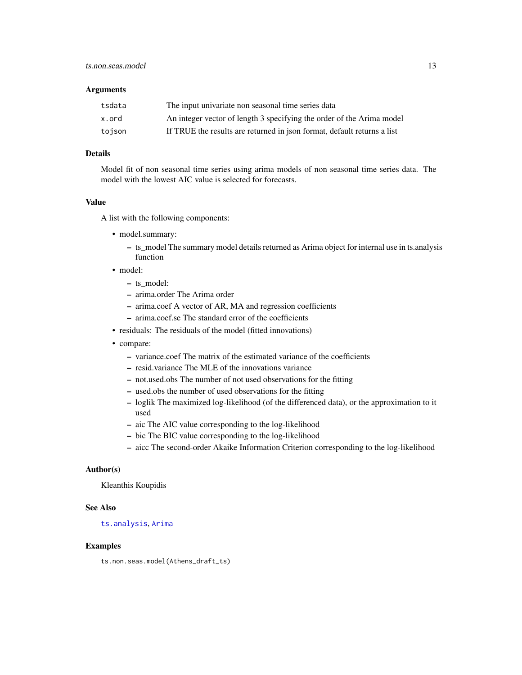#### <span id="page-12-0"></span>**Arguments**

| tsdata | The input univariate non seasonal time series data                      |
|--------|-------------------------------------------------------------------------|
| x.ord  | An integer vector of length 3 specifying the order of the Arima model   |
| tojson | If TRUE the results are returned in json format, default returns a list |

## Details

Model fit of non seasonal time series using arima models of non seasonal time series data. The model with the lowest AIC value is selected for forecasts.

## Value

A list with the following components:

- model.summary:
	- ts\_model The summary model details returned as Arima object for internal use in ts.analysis function
- model:
	- ts\_model:
	- arima.order The Arima order
	- arima.coef A vector of AR, MA and regression coefficients
	- arima.coef.se The standard error of the coefficients
- residuals: The residuals of the model (fitted innovations)
- compare:
	- variance.coef The matrix of the estimated variance of the coefficients
	- resid.variance The MLE of the innovations variance
	- not.used.obs The number of not used observations for the fitting
	- used.obs the number of used observations for the fitting
	- loglik The maximized log-likelihood (of the differenced data), or the approximation to it used
	- aic The AIC value corresponding to the log-likelihood
	- bic The BIC value corresponding to the log-likelihood
	- aicc The second-order Akaike Information Criterion corresponding to the log-likelihood

## Author(s)

Kleanthis Koupidis

#### See Also

#### [ts.analysis](#page-6-1), [Arima](#page-0-0)

#### Examples

ts.non.seas.model(Athens\_draft\_ts)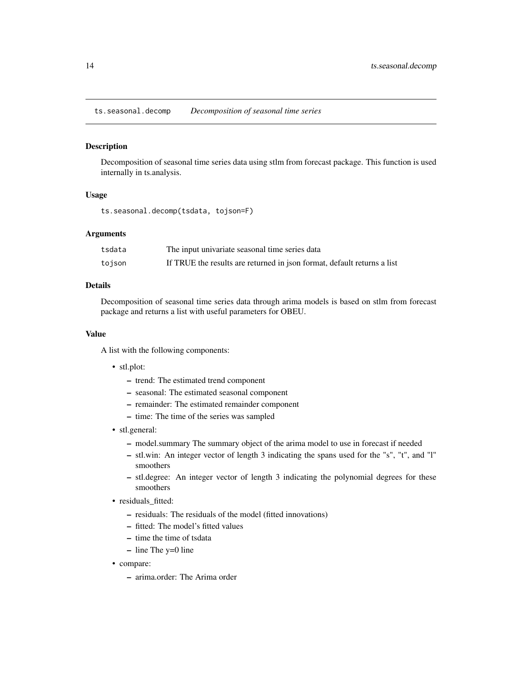<span id="page-13-1"></span><span id="page-13-0"></span>ts.seasonal.decomp *Decomposition of seasonal time series*

#### **Description**

Decomposition of seasonal time series data using stlm from forecast package. This function is used internally in ts.analysis.

## Usage

ts.seasonal.decomp(tsdata, tojson=F)

## Arguments

| tsdata | The input univariate seasonal time series data                          |
|--------|-------------------------------------------------------------------------|
| tojson | If TRUE the results are returned in json format, default returns a list |

## Details

Decomposition of seasonal time series data through arima models is based on stlm from forecast package and returns a list with useful parameters for OBEU.

#### Value

A list with the following components:

- stl.plot:
	- trend: The estimated trend component
	- seasonal: The estimated seasonal component
	- remainder: The estimated remainder component
	- time: The time of the series was sampled
- stl.general:
	- model.summary The summary object of the arima model to use in forecast if needed
	- stl.win: An integer vector of length 3 indicating the spans used for the "s", "t", and "l" smoothers
	- stl.degree: An integer vector of length 3 indicating the polynomial degrees for these smoothers
- residuals\_fitted:
	- residuals: The residuals of the model (fitted innovations)
	- fitted: The model's fitted values
	- time the time of tsdata
	- line The y=0 line
- compare:
	- arima.order: The Arima order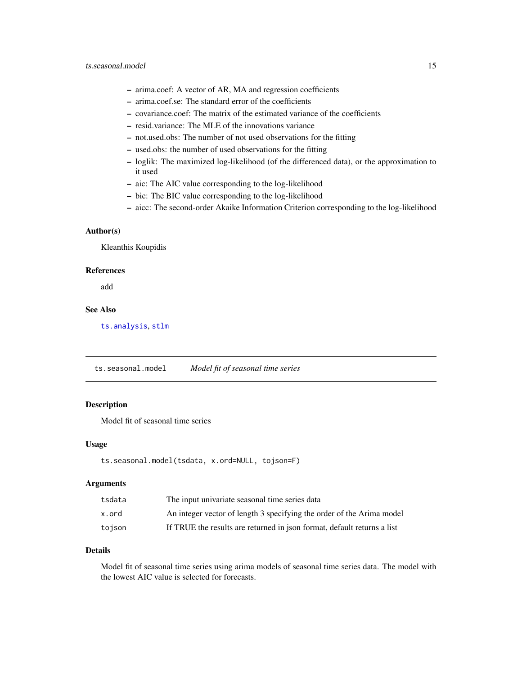- <span id="page-14-0"></span>– arima.coef: A vector of AR, MA and regression coefficients
- arima.coef.se: The standard error of the coefficients
- covariance.coef: The matrix of the estimated variance of the coefficients
- resid.variance: The MLE of the innovations variance
- not.used.obs: The number of not used observations for the fitting
- used.obs: the number of used observations for the fitting
- loglik: The maximized log-likelihood (of the differenced data), or the approximation to it used
- aic: The AIC value corresponding to the log-likelihood
- bic: The BIC value corresponding to the log-likelihood
- aicc: The second-order Akaike Information Criterion corresponding to the log-likelihood

#### Author(s)

Kleanthis Koupidis

#### References

add

## See Also

[ts.analysis](#page-6-1), [stlm](#page-0-0)

<span id="page-14-1"></span>ts.seasonal.model *Model fit of seasonal time series*

#### Description

Model fit of seasonal time series

#### Usage

```
ts.seasonal.model(tsdata, x.ord=NULL, tojson=F)
```
#### Arguments

| tsdata | The input univariate seasonal time series data                          |
|--------|-------------------------------------------------------------------------|
| x.ord  | An integer vector of length 3 specifying the order of the Arima model   |
| toison | If TRUE the results are returned in json format, default returns a list |

## Details

Model fit of seasonal time series using arima models of seasonal time series data. The model with the lowest AIC value is selected for forecasts.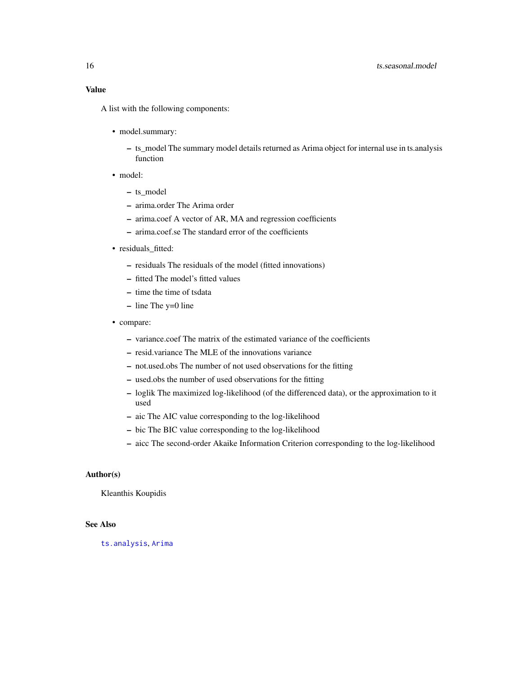<span id="page-15-0"></span>A list with the following components:

- model.summary:
	- ts\_model The summary model details returned as Arima object for internal use in ts.analysis function
- model:
	- ts\_model
	- arima.order The Arima order
	- arima.coef A vector of AR, MA and regression coefficients
	- arima.coef.se The standard error of the coefficients
- residuals\_fitted:
	- residuals The residuals of the model (fitted innovations)
	- fitted The model's fitted values
	- time the time of tsdata
	- line The y=0 line
- compare:
	- variance.coef The matrix of the estimated variance of the coefficients
	- resid.variance The MLE of the innovations variance
	- not.used.obs The number of not used observations for the fitting
	- used.obs the number of used observations for the fitting
	- loglik The maximized log-likelihood (of the differenced data), or the approximation to it used
	- aic The AIC value corresponding to the log-likelihood
	- bic The BIC value corresponding to the log-likelihood
	- aicc The second-order Akaike Information Criterion corresponding to the log-likelihood

## Author(s)

Kleanthis Koupidis

## See Also

[ts.analysis](#page-6-1), [Arima](#page-0-0)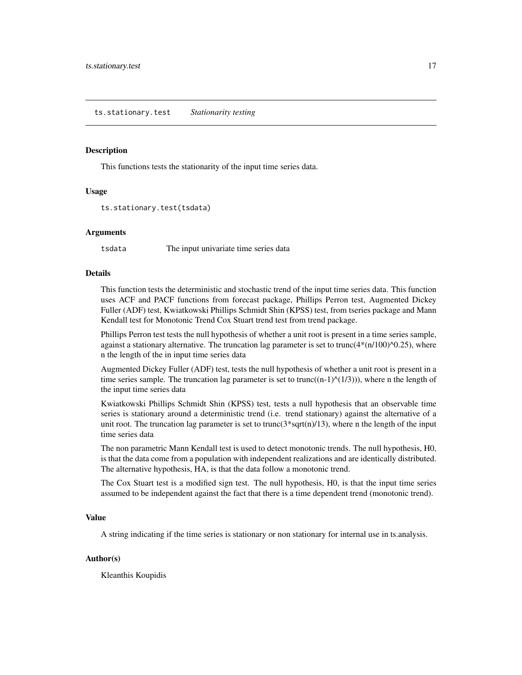#### <span id="page-16-1"></span><span id="page-16-0"></span>Description

This functions tests the stationarity of the input time series data.

#### Usage

```
ts.stationary.test(tsdata)
```
#### Arguments

tsdata The input univariate time series data

## Details

This function tests the deterministic and stochastic trend of the input time series data. This function uses ACF and PACF functions from forecast package, Phillips Perron test, Augmented Dickey Fuller (ADF) test, Kwiatkowski Phillips Schmidt Shin (KPSS) test, from tseries package and Mann Kendall test for Monotonic Trend Cox Stuart trend test from trend package.

Phillips Perron test tests the null hypothesis of whether a unit root is present in a time series sample, against a stationary alternative. The truncation lag parameter is set to trunc $(4*(n/100)^{\wedge}0.25)$ , where n the length of the in input time series data

Augmented Dickey Fuller (ADF) test, tests the null hypothesis of whether a unit root is present in a time series sample. The truncation lag parameter is set to trunc( $(n-1)$  $(1/3)$ )), where n the length of the input time series data

Kwiatkowski Phillips Schmidt Shin (KPSS) test, tests a null hypothesis that an observable time series is stationary around a deterministic trend (i.e. trend stationary) against the alternative of a unit root. The truncation lag parameter is set to trunc( $3*sqrt(n)/13$ ), where n the length of the input time series data

The non parametric Mann Kendall test is used to detect monotonic trends. The null hypothesis, H0, is that the data come from a population with independent realizations and are identically distributed. The alternative hypothesis, HA, is that the data follow a monotonic trend.

The Cox Stuart test is a modified sign test. The null hypothesis, H0, is that the input time series assumed to be independent against the fact that there is a time dependent trend (monotonic trend).

#### Value

A string indicating if the time series is stationary or non stationary for internal use in ts.analysis.

#### Author(s)

Kleanthis Koupidis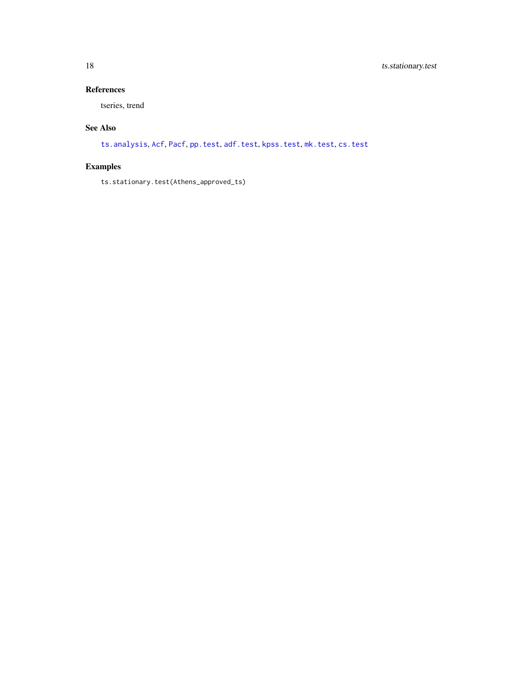## <span id="page-17-0"></span>References

tseries, trend

## See Also

[ts.analysis](#page-6-1), [Acf](#page-0-0), [Pacf](#page-0-0), [pp.test](#page-0-0), [adf.test](#page-0-0), [kpss.test](#page-0-0), [mk.test](#page-0-0), [cs.test](#page-0-0)

## Examples

ts.stationary.test(Athens\_approved\_ts)